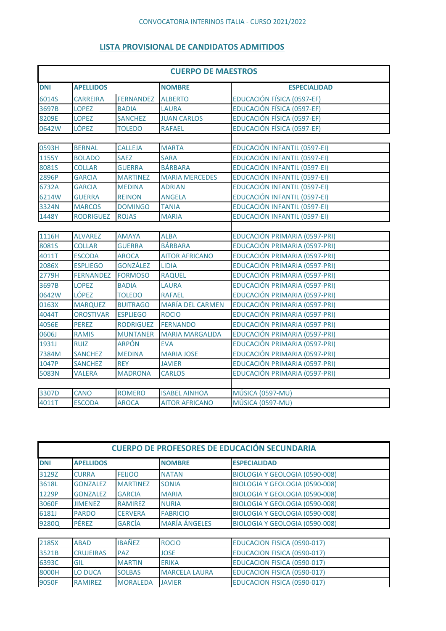## **LISTA PROVISIONAL DE CANDIDATOS ADMITIDOS**

| <b>CUERPO DE MAESTROS</b> |                  |                  |                         |                               |
|---------------------------|------------------|------------------|-------------------------|-------------------------------|
| <b>DNI</b>                | <b>APELLIDOS</b> |                  | <b>NOMBRE</b>           | <b>ESPECIALIDAD</b>           |
| 6014S                     | <b>CARREIRA</b>  | <b>FERNANDEZ</b> | <b>ALBERTO</b>          | EDUCACIÓN FÍSICA (0597-EF)    |
| 3697B                     | <b>LOPEZ</b>     | <b>BADIA</b>     | <b>LAURA</b>            | EDUCACIÓN FÍSICA (0597-EF)    |
| 8209E                     | <b>LOPEZ</b>     | <b>SANCHEZ</b>   | <b>JUAN CARLOS</b>      | EDUCACIÓN FÍSICA (0597-EF)    |
| 0642W                     | <b>LÓPEZ</b>     | <b>TOLEDO</b>    | <b>RAFAEL</b>           | EDUCACIÓN FÍSICA (0597-EF)    |
|                           |                  |                  |                         |                               |
| 0593H                     | <b>BERNAL</b>    | <b>CALLEJA</b>   | <b>MARTA</b>            | EDUCACIÓN INFANTIL (0597-EI)  |
| 1155Y                     | <b>BOLADO</b>    | <b>SAEZ</b>      | <b>SARA</b>             | EDUCACIÓN INFANTIL (0597-EI)  |
| 8081S                     | <b>COLLAR</b>    | <b>GUERRA</b>    | <b>BÁRBARA</b>          | EDUCACIÓN INFANTIL (0597-EI)  |
| 2896P                     | <b>GARCIA</b>    | <b>MARTINEZ</b>  | <b>MARIA MERCEDES</b>   | EDUCACIÓN INFANTIL (0597-EI)  |
| 6732A                     | <b>GARCIA</b>    | <b>MEDINA</b>    | <b>ADRIAN</b>           | EDUCACIÓN INFANTIL (0597-EI)  |
| 6214W                     | <b>GUERRA</b>    | <b>REINON</b>    | <b>ANGELA</b>           | EDUCACIÓN INFANTIL (0597-EI)  |
| 3324N                     | <b>MARCOS</b>    | <b>DOMINGO</b>   | <b>TANIA</b>            | EDUCACIÓN INFANTIL (0597-EI)  |
| 1448Y                     | <b>RODRIGUEZ</b> | <b>ROJAS</b>     | <b>MARIA</b>            | EDUCACIÓN INFANTIL (0597-EI)  |
|                           |                  |                  |                         |                               |
| 1116H                     | <b>ALVAREZ</b>   | <b>AMAYA</b>     | <b>ALBA</b>             | EDUCACIÓN PRIMARIA (0597-PRI) |
| 8081S                     | <b>COLLAR</b>    | <b>GUERRA</b>    | <b>BÁRBARA</b>          | EDUCACIÓN PRIMARIA (0597-PRI) |
| 4011T                     | <b>ESCODA</b>    | <b>AROCA</b>     | <b>AITOR AFRICANO</b>   | EDUCACIÓN PRIMARIA (0597-PRI) |
| 2086X                     | <b>ESPLIEGO</b>  | <b>GONZÁLEZ</b>  | <b>LIDIA</b>            | EDUCACIÓN PRIMARIA (0597-PRI) |
| 2779H                     | <b>FERNANDEZ</b> | <b>FORMOSO</b>   | <b>RAQUEL</b>           | EDUCACIÓN PRIMARIA (0597-PRI) |
| 3697B                     | <b>LOPEZ</b>     | <b>BADIA</b>     | <b>LAURA</b>            | EDUCACIÓN PRIMARIA (0597-PRI) |
| 0642W                     | <b>LÓPEZ</b>     | <b>TOLEDO</b>    | <b>RAFAEL</b>           | EDUCACIÓN PRIMARIA (0597-PRI) |
| 0163X                     | <b>MARQUEZ</b>   | <b>BUITRAGO</b>  | <b>MARÍA DEL CARMEN</b> | EDUCACIÓN PRIMARIA (0597-PRI) |
| 4044T                     | <b>OROSTIVAR</b> | <b>ESPLIEGO</b>  | <b>ROCIO</b>            | EDUCACIÓN PRIMARIA (0597-PRI) |
| 4056E                     | <b>PEREZ</b>     | <b>RODRIGUEZ</b> | <b>FERNANDO</b>         | EDUCACIÓN PRIMARIA (0597-PRI) |
| 0606J                     | <b>RAMIS</b>     | <b>MUNTANER</b>  | <b>MARIA MARGALIDA</b>  | EDUCACIÓN PRIMARIA (0597-PRI) |
| 1931J                     | <b>RUIZ</b>      | <b>ARPÓN</b>     | <b>EVA</b>              | EDUCACIÓN PRIMARIA (0597-PRI) |
| 7384M                     | <b>SANCHEZ</b>   | <b>MEDINA</b>    | <b>MARIA JOSE</b>       | EDUCACIÓN PRIMARIA (0597-PRI) |
| 1047P                     | <b>SANCHEZ</b>   | <b>REY</b>       | <b>JAVIER</b>           | EDUCACIÓN PRIMARIA (0597-PRI) |
| 5083N                     | <b>VALERA</b>    | <b>MADRONA</b>   | <b>CARLOS</b>           | EDUCACIÓN PRIMARIA (0597-PRI) |
|                           |                  |                  |                         |                               |
| 3307D                     | <b>CANO</b>      | <b>ROMERO</b>    | <b>ISABEL AINHOA</b>    | MÚSICA (0597-MU)              |
| 4011T                     | <b>ESCODA</b>    | <b>AROCA</b>     | <b>AITOR AFRICANO</b>   | MÚSICA (0597-MU)              |

| <b>CUERPO DE PROFESORES DE EDUCACIÓN SECUNDARIA</b> |                  |                 |                      |                                       |  |  |
|-----------------------------------------------------|------------------|-----------------|----------------------|---------------------------------------|--|--|
| <b>DNI</b>                                          | <b>APELLIDOS</b> |                 | <b>NOMBRE</b>        | <b>ESPECIALIDAD</b>                   |  |  |
| 3129Z                                               | <b>CURRA</b>     | <b>FEIJOO</b>   | <b>NATAN</b>         | BIOLOGIA Y GEOLOGIA (0590-008)        |  |  |
| 3618L                                               | <b>GONZALEZ</b>  | <b>MARTINEZ</b> | <b>SONIA</b>         | BIOLOGIA Y GEOLOGIA (0590-008)        |  |  |
| 1229P                                               | <b>GONZALEZ</b>  | <b>GARCIA</b>   | <b>MARIA</b>         | <b>BIOLOGIA Y GEOLOGIA (0590-008)</b> |  |  |
| 3060F                                               | <b>JIMENEZ</b>   | <b>RAMIREZ</b>  | <b>NURIA</b>         | <b>BIOLOGIA Y GEOLOGIA (0590-008)</b> |  |  |
| 6181J                                               | <b>PARDO</b>     | <b>CERVERA</b>  | <b>FABRICIO</b>      | <b>BIOLOGIA Y GEOLOGIA (0590-008)</b> |  |  |
| 9280Q                                               | <b>PÉREZ</b>     | <b>GARCÍA</b>   | <b>MARÍA ÁNGELES</b> | <b>BIOLOGIA Y GEOLOGIA (0590-008)</b> |  |  |
|                                                     |                  |                 |                      |                                       |  |  |
| 2185X                                               | <b>ABAD</b>      | <b>IBAÑEZ</b>   | <b>ROCIO</b>         | EDUCACION FISICA (0590-017)           |  |  |
| 3521B                                               | <b>CRUJEIRAS</b> | <b>PAZ</b>      | <b>JOSE</b>          | EDUCACION FISICA (0590-017)           |  |  |
| 6393C                                               | <b>GIL</b>       | <b>MARTIN</b>   | <b>ERIKA</b>         | EDUCACION FISICA (0590-017)           |  |  |
| 8000H                                               | <b>LO DUCA</b>   | <b>SOLBAS</b>   | <b>MARCELA LAURA</b> | EDUCACION FISICA (0590-017)           |  |  |
| 9050F                                               | <b>RAMIREZ</b>   | <b>MORALEDA</b> | <b>JAVIER</b>        | EDUCACION FISICA (0590-017)           |  |  |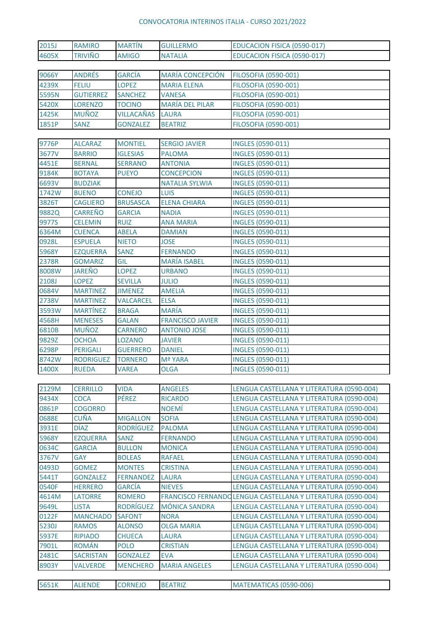## CONVOCATORIA INTERINOS ITALIA - CURSO 2021/2022

| 2015J        | <b>RAMIRO</b>    | <b>MARTÍN</b>    | <b>GUILLERMO</b>        | EDUCACION FISICA (0590-017)                                  |
|--------------|------------------|------------------|-------------------------|--------------------------------------------------------------|
| 4605X        | <b>TRIVIÑO</b>   | <b>AMIGO</b>     | <b>NATALIA</b>          | EDUCACION FISICA (0590-017)                                  |
|              |                  |                  |                         |                                                              |
| 9066Y        | <b>ANDRÉS</b>    | <b>GARCÍA</b>    | MARÍA CONCEPCIÓN        | <b>FILOSOFIA (0590-001)</b>                                  |
| 4239X        | <b>FELIU</b>     | <b>LOPEZ</b>     | <b>MARIA ELENA</b>      | <b>FILOSOFIA (0590-001)</b>                                  |
| 5595N        | <b>GUTIERREZ</b> | <b>SANCHEZ</b>   | <b>VANESA</b>           | <b>FILOSOFIA (0590-001)</b>                                  |
| 5420X        | <b>LORENZO</b>   | <b>TOCINO</b>    | <b>MARÍA DEL PILAR</b>  | <b>FILOSOFIA (0590-001)</b>                                  |
| 1425K        | <b>MUÑOZ</b>     | VILLACAÑAS       | LAURA                   | <b>FILOSOFIA (0590-001)</b>                                  |
| 1851P        | SANZ             | <b>GONZALEZ</b>  | <b>BEATRIZ</b>          | <b>FILOSOFIA (0590-001)</b>                                  |
|              |                  |                  |                         |                                                              |
| 9776P        | <b>ALCARAZ</b>   | <b>MONTIEL</b>   | <b>SERGIO JAVIER</b>    | INGLES (0590-011)                                            |
| 3677V        | <b>BARRIO</b>    | <b>IGLESIAS</b>  | <b>PALOMA</b>           | INGLES (0590-011)                                            |
| 4451E        | <b>BERNAL</b>    | <b>SERRANO</b>   | <b>ANTONIA</b>          | INGLES (0590-011)                                            |
| 9184K        | <b>BOTAYA</b>    | <b>PUEYO</b>     | <b>CONCEPCION</b>       | <b>INGLES (0590-011)</b>                                     |
| 6693V        | <b>BUDZIAK</b>   |                  | <b>NATALIA SYLWIA</b>   | INGLES (0590-011)                                            |
| 1742W        | <b>BUENO</b>     | <b>CONEJO</b>    | <b>LUIS</b>             | INGLES (0590-011)                                            |
| 3826T        | <b>CAGLIERO</b>  | <b>BRUSASCA</b>  | <b>ELENA CHIARA</b>     | INGLES (0590-011)                                            |
| 9882Q        | <b>CARREÑO</b>   | <b>GARCIA</b>    | <b>NADIA</b>            | INGLES (0590-011)                                            |
| 9977S        | <b>CELEMIN</b>   | <b>RUIZ</b>      | <b>ANA MARIA</b>        | INGLES (0590-011)                                            |
| 6364M        | <b>CUENCA</b>    | <b>ABELA</b>     | <b>DAMIAN</b>           | INGLES (0590-011)                                            |
| 0928L        | <b>ESPUELA</b>   | <b>NIETO</b>     | <b>JOSE</b>             | INGLES (0590-011)                                            |
| 5968Y        | <b>EZQUERRA</b>  | SANZ             | <b>FERNANDO</b>         | INGLES (0590-011)                                            |
| 2378R        | <b>GOMARIZ</b>   | GIL              | <b>MARÍA ISABEL</b>     | INGLES (0590-011)                                            |
| 8008W        | <b>JAREÑO</b>    | <b>LOPEZ</b>     | <b>URBANO</b>           | INGLES (0590-011)                                            |
| 2108J        | <b>LOPEZ</b>     | <b>SEVILLA</b>   | <b>JULIO</b>            | INGLES (0590-011)                                            |
| 0684V        | <b>MARTINEZ</b>  | <b>JIMENEZ</b>   | <b>AMELIA</b>           | INGLES (0590-011)                                            |
| 2738V        | <b>MARTINEZ</b>  | <b>VALCARCEL</b> | <b>ELSA</b>             | <b>INGLES (0590-011)</b>                                     |
| 3593W        | <b>MARTÍNEZ</b>  | <b>BRAGA</b>     | <b>MARÍA</b>            | INGLES (0590-011)                                            |
| 4568H        | <b>MENESES</b>   | <b>GALAN</b>     | <b>FRANCISCO JAVIER</b> | INGLES (0590-011)                                            |
| 6810B        | <b>MUÑOZ</b>     | <b>CARNERO</b>   | <b>ANTONIO JOSE</b>     | INGLES (0590-011)                                            |
| 9829Z        | <b>OCHOA</b>     | <b>LOZANO</b>    | <b>JAVIER</b>           | INGLES (0590-011)                                            |
| 6298P        | <b>PERIGALI</b>  | <b>GUERRERO</b>  | <b>DANIEL</b>           | <b>INGLES (0590-011)</b>                                     |
| 8742W        | <b>RODRIGUEZ</b> | <b>TORNERO</b>   | Mª YARA                 | INGLES (0590-011)                                            |
| 1400X        | <b>RUEDA</b>     | <b>VAREA</b>     | <b>OLGA</b>             | INGLES (0590-011)                                            |
|              |                  |                  |                         |                                                              |
| 2129M        | <b>CERRILLO</b>  | <b>VIDA</b>      | <b>ANGELES</b>          | LENGUA CASTELLANA Y LITERATURA (0590-004)                    |
| 9434X        | <b>COCA</b>      | <b>PÉREZ</b>     | <b>RICARDO</b>          | LENGUA CASTELLANA Y LITERATURA (0590-004)                    |
| 0861P        | <b>COGORRO</b>   |                  | <b>NOEMÍ</b>            | LENGUA CASTELLANA Y LITERATURA (0590-004)                    |
| 0688E        | CUÑA             | <b>MIGALLON</b>  | <b>SOFIA</b>            | LENGUA CASTELLANA Y LITERATURA (0590-004)                    |
| 3931E        | <b>DÍAZ</b>      | <b>RODRÍGUEZ</b> | <b>PALOMA</b>           | LENGUA CASTELLANA Y LITERATURA (0590-004)                    |
| 5968Y        | <b>EZQUERRA</b>  | <b>SANZ</b>      | <b>FERNANDO</b>         | LENGUA CASTELLANA Y LITERATURA (0590-004)                    |
| 0634C        | <b>GARCIA</b>    | <b>BULLON</b>    | <b>MONICA</b>           | LENGUA CASTELLANA Y LITERATURA (0590-004)                    |
| 3767V        | <b>GAY</b>       | <b>BOLEAS</b>    | <b>RAFAEL</b>           | LENGUA CASTELLANA Y LITERATURA (0590-004)                    |
| 0493D        | <b>GOMEZ</b>     | <b>MONTES</b>    | <b>CRISTINA</b>         | LENGUA CASTELLANA Y LITERATURA (0590-004)                    |
| 5441T        | <b>GONZALEZ</b>  | <b>FERNANDEZ</b> | <b>LAURA</b>            | LENGUA CASTELLANA Y LITERATURA (0590-004)                    |
| 0540F        | <b>HERRERO</b>   | <b>GARCÍA</b>    | <b>NIEVES</b>           | LENGUA CASTELLANA Y LITERATURA (0590-004)                    |
| 4614M        | LATORRE          | <b>ROMERO</b>    |                         | FRANCISCO FERNANDO LENGUA CASTELLANA Y LITERATURA (0590-004) |
| 9649L        | <b>LISTA</b>     | <b>RODRÍGUEZ</b> | <b>MÓNICA SANDRA</b>    | LENGUA CASTELLANA Y LITERATURA (0590-004)                    |
| 0122F        | <b>MANCHADO</b>  | <b>SAFONT</b>    | <b>NORA</b>             | LENGUA CASTELLANA Y LITERATURA (0590-004)                    |
| <b>5230J</b> | <b>RAMOS</b>     | <b>ALONSO</b>    | <b>OLGA MARIA</b>       | LENGUA CASTELLANA Y LITERATURA (0590-004)                    |
| 5937E        | <b>RIPIADO</b>   | <b>CHUECA</b>    | <b>LAURA</b>            | LENGUA CASTELLANA Y LITERATURA (0590-004)                    |
| 7901L        | <b>ROMÁN</b>     | <b>POLO</b>      | <b>CRISTIAN</b>         | LENGUA CASTELLANA Y LITERATURA (0590-004)                    |
| 2481C        | <b>SACRISTAN</b> | <b>GONZALEZ</b>  | <b>EVA</b>              | LENGUA CASTELLANA Y LITERATURA (0590-004)                    |
| 8903Y        | <b>VALVERDE</b>  | <b>MENCHERO</b>  | <b>MARIA ANGELES</b>    | LENGUA CASTELLANA Y LITERATURA (0590-004)                    |
|              |                  |                  |                         |                                                              |
| 5651K        | <b>ALIENDE</b>   | <b>CORNEJO</b>   | <b>BEATRIZ</b>          | MATEMATICAS (0590-006)                                       |